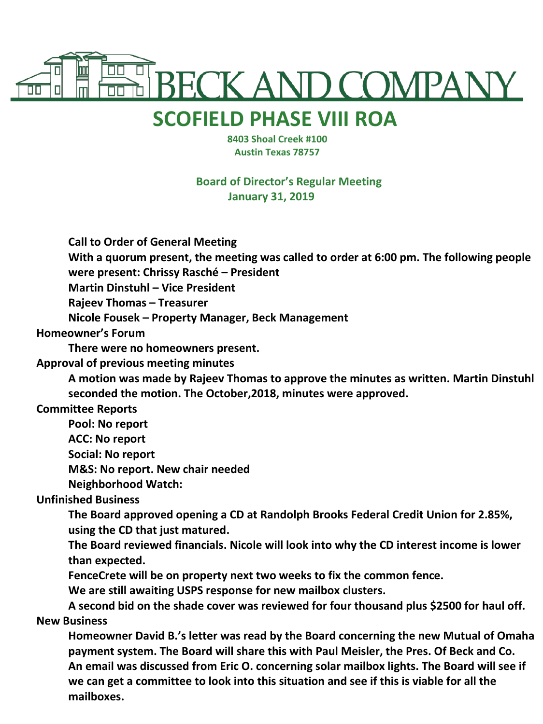

## **SCOFIELD PHASE VIII ROA**

 **8403 Shoal Creek #100 Austin Texas 78757**

**Board of Director's Regular Meeting January 31, 2019**

**Call to Order of General Meeting**

**With a quorum present, the meeting was called to order at 6:00 pm. The following people were present: Chrissy Rasché – President**

**Martin Dinstuhl – Vice President** 

**Rajeev Thomas – Treasurer**

**Nicole Fousek – Property Manager, Beck Management**

**Homeowner's Forum**

**There were no homeowners present.**

**Approval of previous meeting minutes**

**A motion was made by Rajeev Thomas to approve the minutes as written. Martin Dinstuhl seconded the motion. The October,2018, minutes were approved.**

**Committee Reports**

**Pool: No report**

**ACC: No report**

**Social: No report**

**M&S: No report. New chair needed**

**Neighborhood Watch:** 

**Unfinished Business**

**The Board approved opening a CD at Randolph Brooks Federal Credit Union for 2.85%, using the CD that just matured.**

**The Board reviewed financials. Nicole will look into why the CD interest income is lower than expected.**

**FenceCrete will be on property next two weeks to fix the common fence.**

**We are still awaiting USPS response for new mailbox clusters.**

**A second bid on the shade cover was reviewed for four thousand plus \$2500 for haul off. New Business**

**Homeowner David B.'s letter was read by the Board concerning the new Mutual of Omaha payment system. The Board will share this with Paul Meisler, the Pres. Of Beck and Co. An email was discussed from Eric O. concerning solar mailbox lights. The Board will see if we can get a committee to look into this situation and see if this is viable for all the mailboxes.**